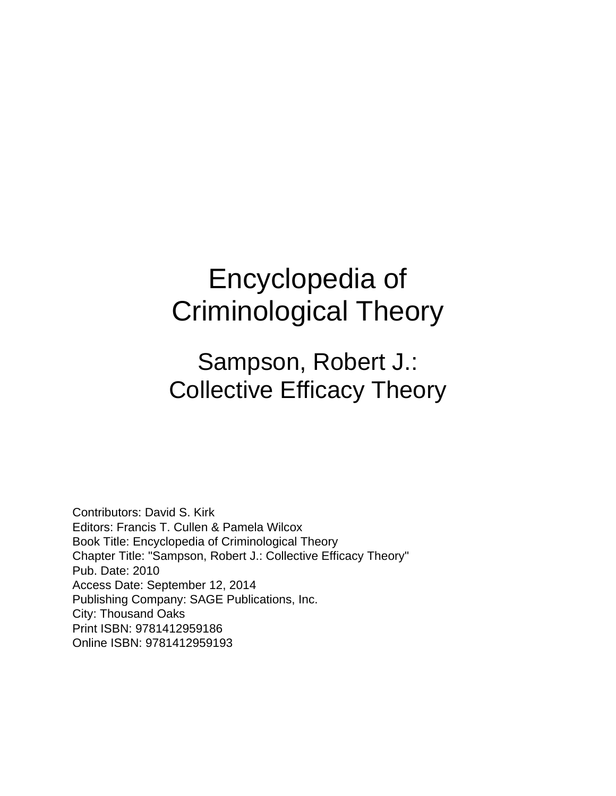# Encyclopedia of Criminological Theory

### Sampson, Robert J.: Collective Efficacy Theory

Contributors: David S. Kirk Editors: Francis T. Cullen & Pamela Wilcox Book Title: Encyclopedia of Criminological Theory Chapter Title: "Sampson, Robert J.: Collective Efficacy Theory" Pub. Date: 2010 Access Date: September 12, 2014 Publishing Company: SAGE Publications, Inc. City: Thousand Oaks Print ISBN: 9781412959186 Online ISBN: 9781412959193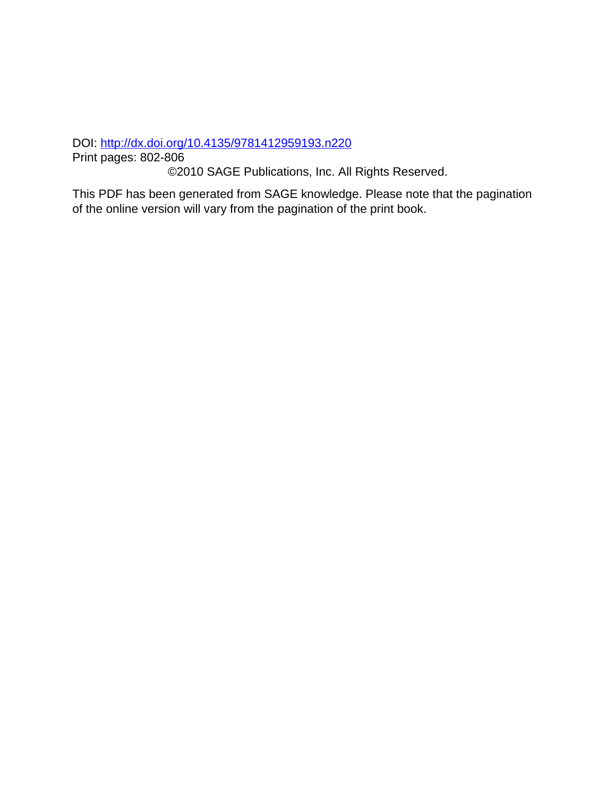DOI:<http://dx.doi.org/10.4135/9781412959193.n220>

Print pages: 802-806

©2010 SAGE Publications, Inc. All Rights Reserved.

This PDF has been generated from SAGE knowledge. Please note that the pagination of the online version will vary from the pagination of the print book.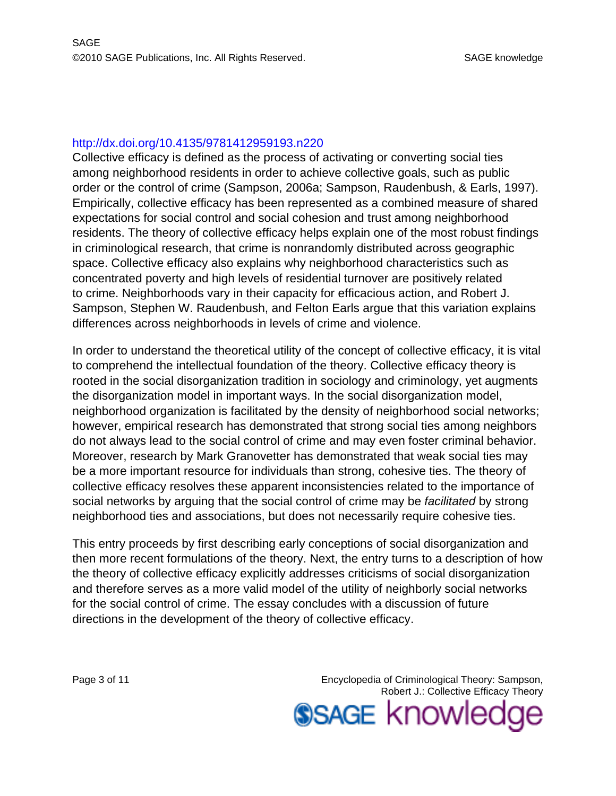#### <http://dx.doi.org/10.4135/9781412959193.n220>

Collective efficacy is defined as the process of activating or converting social ties among neighborhood residents in order to achieve collective goals, such as public order or the control of crime (Sampson, 2006a; Sampson, Raudenbush, & Earls, 1997). Empirically, collective efficacy has been represented as a combined measure of shared expectations for social control and social cohesion and trust among neighborhood residents. The theory of collective efficacy helps explain one of the most robust findings in criminological research, that crime is nonrandomly distributed across geographic space. Collective efficacy also explains why neighborhood characteristics such as concentrated poverty and high levels of residential turnover are positively related to crime. Neighborhoods vary in their capacity for efficacious action, and Robert J. Sampson, Stephen W. Raudenbush, and Felton Earls argue that this variation explains differences across neighborhoods in levels of crime and violence.

In order to understand the theoretical utility of the concept of collective efficacy, it is vital to comprehend the intellectual foundation of the theory. Collective efficacy theory is rooted in the social disorganization tradition in sociology and criminology, yet augments the disorganization model in important ways. In the social disorganization model, neighborhood organization is facilitated by the density of neighborhood social networks; however, empirical research has demonstrated that strong social ties among neighbors do not always lead to the social control of crime and may even foster criminal behavior. Moreover, research by Mark Granovetter has demonstrated that weak social ties may be a more important resource for individuals than strong, cohesive ties. The theory of collective efficacy resolves these apparent inconsistencies related to the importance of social networks by arguing that the social control of crime may be facilitated by strong neighborhood ties and associations, but does not necessarily require cohesive ties.

This entry proceeds by first describing early conceptions of social disorganization and then more recent formulations of the theory. Next, the entry turns to a description of how the theory of collective efficacy explicitly addresses criticisms of social disorganization and therefore serves as a more valid model of the utility of neighborly social networks for the social control of crime. The essay concludes with a discussion of future directions in the development of the theory of collective efficacy.

Page 3 of 11 **Encyclopedia of Criminological Theory: Sampson,** Robert J.: Collective Efficacy Theory **SSAGE knowled**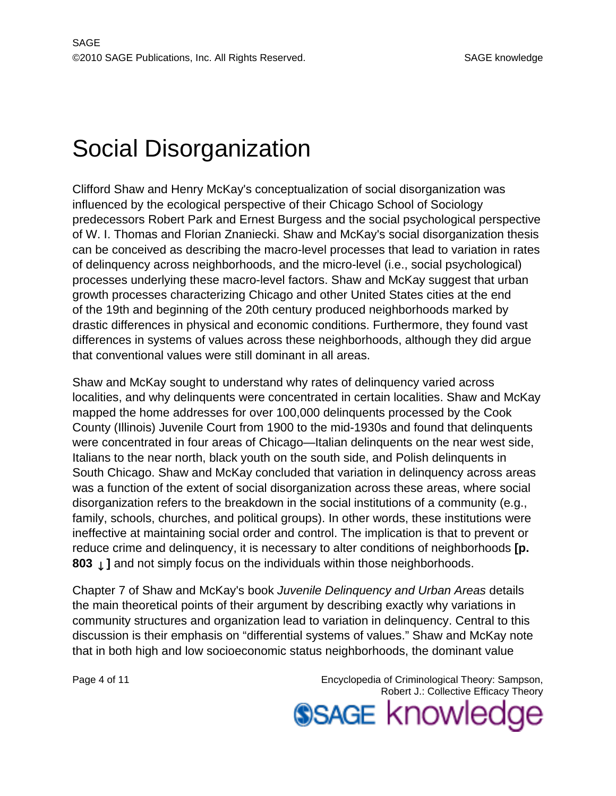# Social Disorganization

Clifford Shaw and Henry McKay's conceptualization of social disorganization was influenced by the ecological perspective of their Chicago School of Sociology predecessors Robert Park and Ernest Burgess and the social psychological perspective of W. I. Thomas and Florian Znaniecki. Shaw and McKay's social disorganization thesis can be conceived as describing the macro-level processes that lead to variation in rates of delinquency across neighborhoods, and the micro-level (i.e., social psychological) processes underlying these macro-level factors. Shaw and McKay suggest that urban growth processes characterizing Chicago and other United States cities at the end of the 19th and beginning of the 20th century produced neighborhoods marked by drastic differences in physical and economic conditions. Furthermore, they found vast differences in systems of values across these neighborhoods, although they did argue that conventional values were still dominant in all areas.

Shaw and McKay sought to understand why rates of delinquency varied across localities, and why delinquents were concentrated in certain localities. Shaw and McKay mapped the home addresses for over 100,000 delinquents processed by the Cook County (Illinois) Juvenile Court from 1900 to the mid-1930s and found that delinquents were concentrated in four areas of Chicago—Italian delinquents on the near west side, Italians to the near north, black youth on the south side, and Polish delinquents in South Chicago. Shaw and McKay concluded that variation in delinquency across areas was a function of the extent of social disorganization across these areas, where social disorganization refers to the breakdown in the social institutions of a community (e.g., family, schools, churches, and political groups). In other words, these institutions were ineffective at maintaining social order and control. The implication is that to prevent or reduce crime and delinquency, it is necessary to alter conditions of neighborhoods **[p. 803**  $\downarrow$  ] and not simply focus on the individuals within those neighborhoods.

Chapter 7 of Shaw and McKay's book Juvenile Delinquency and Urban Areas details the main theoretical points of their argument by describing exactly why variations in community structures and organization lead to variation in delinquency. Central to this discussion is their emphasis on "differential systems of values." Shaw and McKay note that in both high and low socioeconomic status neighborhoods, the dominant value

Page 4 of 11 **Page 4 of 11** Encyclopedia of Criminological Theory: Sampson, Robert J.: Collective Efficacy Theory **SSAGE knowled**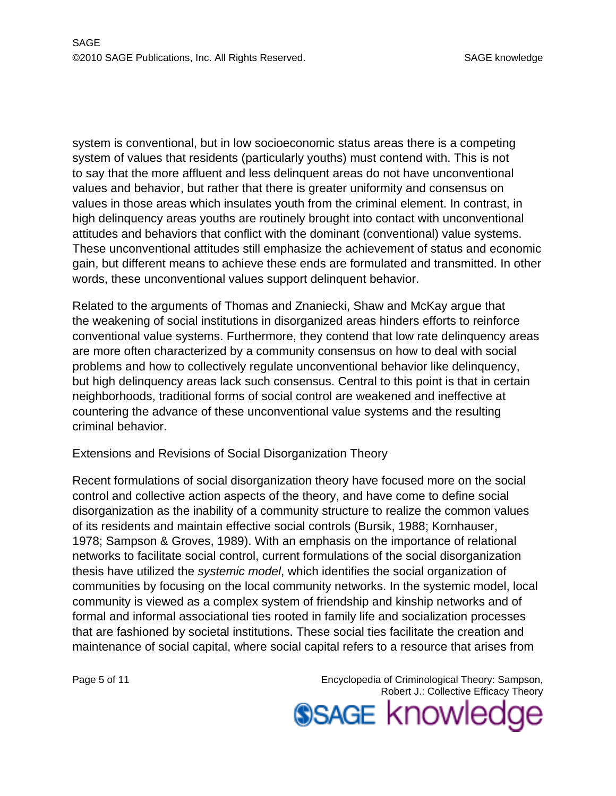system is conventional, but in low socioeconomic status areas there is a competing system of values that residents (particularly youths) must contend with. This is not to say that the more affluent and less delinquent areas do not have unconventional values and behavior, but rather that there is greater uniformity and consensus on values in those areas which insulates youth from the criminal element. In contrast, in high delinquency areas youths are routinely brought into contact with unconventional attitudes and behaviors that conflict with the dominant (conventional) value systems. These unconventional attitudes still emphasize the achievement of status and economic gain, but different means to achieve these ends are formulated and transmitted. In other words, these unconventional values support delinquent behavior.

Related to the arguments of Thomas and Znaniecki, Shaw and McKay argue that the weakening of social institutions in disorganized areas hinders efforts to reinforce conventional value systems. Furthermore, they contend that low rate delinquency areas are more often characterized by a community consensus on how to deal with social problems and how to collectively regulate unconventional behavior like delinquency, but high delinquency areas lack such consensus. Central to this point is that in certain neighborhoods, traditional forms of social control are weakened and ineffective at countering the advance of these unconventional value systems and the resulting criminal behavior.

#### Extensions and Revisions of Social Disorganization Theory

Recent formulations of social disorganization theory have focused more on the social control and collective action aspects of the theory, and have come to define social disorganization as the inability of a community structure to realize the common values of its residents and maintain effective social controls (Bursik, 1988; Kornhauser, 1978; Sampson & Groves, 1989). With an emphasis on the importance of relational networks to facilitate social control, current formulations of the social disorganization thesis have utilized the systemic model, which identifies the social organization of communities by focusing on the local community networks. In the systemic model, local community is viewed as a complex system of friendship and kinship networks and of formal and informal associational ties rooted in family life and socialization processes that are fashioned by societal institutions. These social ties facilitate the creation and maintenance of social capital, where social capital refers to a resource that arises from

Page 5 of 11 **Encyclopedia of Criminological Theory: Sampson,** Robert J.: Collective Efficacy Theory

**SSAGE knowled**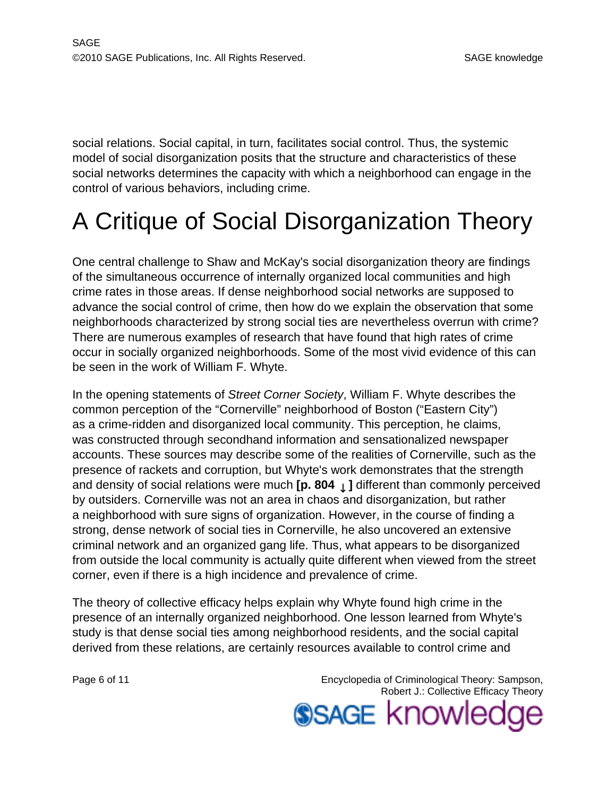social relations. Social capital, in turn, facilitates social control. Thus, the systemic model of social disorganization posits that the structure and characteristics of these social networks determines the capacity with which a neighborhood can engage in the control of various behaviors, including crime.

# A Critique of Social Disorganization Theory

One central challenge to Shaw and McKay's social disorganization theory are findings of the simultaneous occurrence of internally organized local communities and high crime rates in those areas. If dense neighborhood social networks are supposed to advance the social control of crime, then how do we explain the observation that some neighborhoods characterized by strong social ties are nevertheless overrun with crime? There are numerous examples of research that have found that high rates of crime occur in socially organized neighborhoods. Some of the most vivid evidence of this can be seen in the work of William F. Whyte.

In the opening statements of Street Corner Society, William F. Whyte describes the common perception of the "Cornerville" neighborhood of Boston ("Eastern City") as a crime-ridden and disorganized local community. This perception, he claims, was constructed through secondhand information and sensationalized newspaper accounts. These sources may describe some of the realities of Cornerville, such as the presence of rackets and corruption, but Whyte's work demonstrates that the strength and density of social relations were much **[p. 804** ↓ **]** different than commonly perceived by outsiders. Cornerville was not an area in chaos and disorganization, but rather a neighborhood with sure signs of organization. However, in the course of finding a strong, dense network of social ties in Cornerville, he also uncovered an extensive criminal network and an organized gang life. Thus, what appears to be disorganized from outside the local community is actually quite different when viewed from the street corner, even if there is a high incidence and prevalence of crime.

The theory of collective efficacy helps explain why Whyte found high crime in the presence of an internally organized neighborhood. One lesson learned from Whyte's study is that dense social ties among neighborhood residents, and the social capital derived from these relations, are certainly resources available to control crime and

Page 6 of 11 **Encyclopedia of Criminological Theory: Sampson,** Robert J.: Collective Efficacy Theory **SSAGE knowled**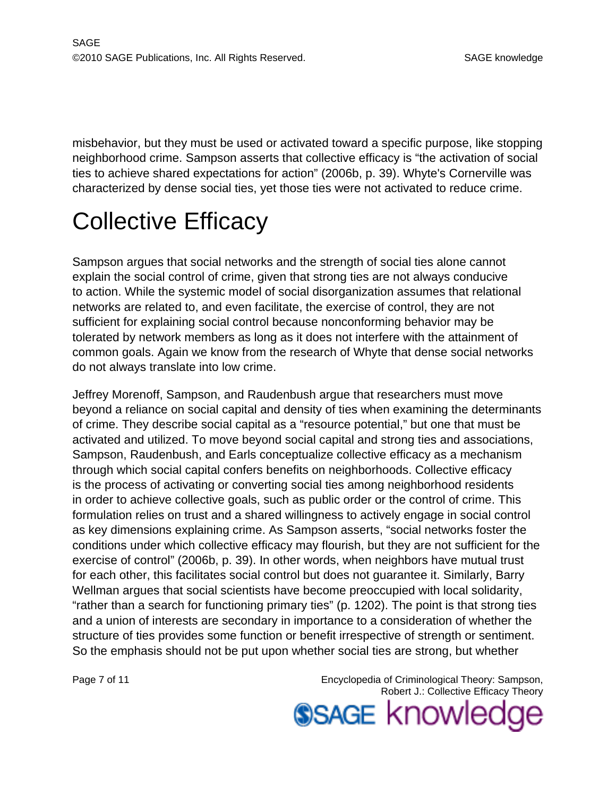misbehavior, but they must be used or activated toward a specific purpose, like stopping neighborhood crime. Sampson asserts that collective efficacy is "the activation of social ties to achieve shared expectations for action" (2006b, p. 39). Whyte's Cornerville was characterized by dense social ties, yet those ties were not activated to reduce crime.

# Collective Efficacy

Sampson argues that social networks and the strength of social ties alone cannot explain the social control of crime, given that strong ties are not always conducive to action. While the systemic model of social disorganization assumes that relational networks are related to, and even facilitate, the exercise of control, they are not sufficient for explaining social control because nonconforming behavior may be tolerated by network members as long as it does not interfere with the attainment of common goals. Again we know from the research of Whyte that dense social networks do not always translate into low crime.

Jeffrey Morenoff, Sampson, and Raudenbush argue that researchers must move beyond a reliance on social capital and density of ties when examining the determinants of crime. They describe social capital as a "resource potential," but one that must be activated and utilized. To move beyond social capital and strong ties and associations, Sampson, Raudenbush, and Earls conceptualize collective efficacy as a mechanism through which social capital confers benefits on neighborhoods. Collective efficacy is the process of activating or converting social ties among neighborhood residents in order to achieve collective goals, such as public order or the control of crime. This formulation relies on trust and a shared willingness to actively engage in social control as key dimensions explaining crime. As Sampson asserts, "social networks foster the conditions under which collective efficacy may flourish, but they are not sufficient for the exercise of control" (2006b, p. 39). In other words, when neighbors have mutual trust for each other, this facilitates social control but does not guarantee it. Similarly, Barry Wellman argues that social scientists have become preoccupied with local solidarity, "rather than a search for functioning primary ties" (p. 1202). The point is that strong ties and a union of interests are secondary in importance to a consideration of whether the structure of ties provides some function or benefit irrespective of strength or sentiment. So the emphasis should not be put upon whether social ties are strong, but whether

Page 7 of 11 **Encyclopedia of Criminological Theory: Sampson,** Robert J.: Collective Efficacy Theory

**SSAGE knowled**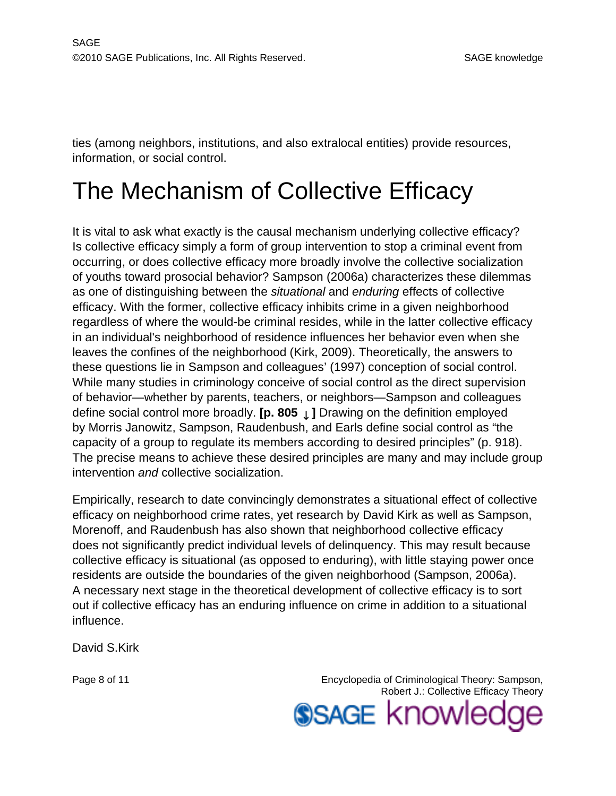ties (among neighbors, institutions, and also extralocal entities) provide resources, information, or social control.

### The Mechanism of Collective Efficacy

It is vital to ask what exactly is the causal mechanism underlying collective efficacy? Is collective efficacy simply a form of group intervention to stop a criminal event from occurring, or does collective efficacy more broadly involve the collective socialization of youths toward prosocial behavior? Sampson (2006a) characterizes these dilemmas as one of distinguishing between the situational and enduring effects of collective efficacy. With the former, collective efficacy inhibits crime in a given neighborhood regardless of where the would-be criminal resides, while in the latter collective efficacy in an individual's neighborhood of residence influences her behavior even when she leaves the confines of the neighborhood (Kirk, 2009). Theoretically, the answers to these questions lie in Sampson and colleagues' (1997) conception of social control. While many studies in criminology conceive of social control as the direct supervision of behavior—whether by parents, teachers, or neighbors—Sampson and colleagues define social control more broadly. **[p. 805** ↓ **]** Drawing on the definition employed by Morris Janowitz, Sampson, Raudenbush, and Earls define social control as "the capacity of a group to regulate its members according to desired principles" (p. 918). The precise means to achieve these desired principles are many and may include group intervention and collective socialization.

Empirically, research to date convincingly demonstrates a situational effect of collective efficacy on neighborhood crime rates, yet research by David Kirk as well as Sampson, Morenoff, and Raudenbush has also shown that neighborhood collective efficacy does not significantly predict individual levels of delinquency. This may result because collective efficacy is situational (as opposed to enduring), with little staying power once residents are outside the boundaries of the given neighborhood (Sampson, 2006a). A necessary next stage in the theoretical development of collective efficacy is to sort out if collective efficacy has an enduring influence on crime in addition to a situational influence.

David S.Kirk

Page 8 of 11 **Encyclopedia of Criminological Theory: Sampson,** Robert J.: Collective Efficacy Theory **SSAGE knowled**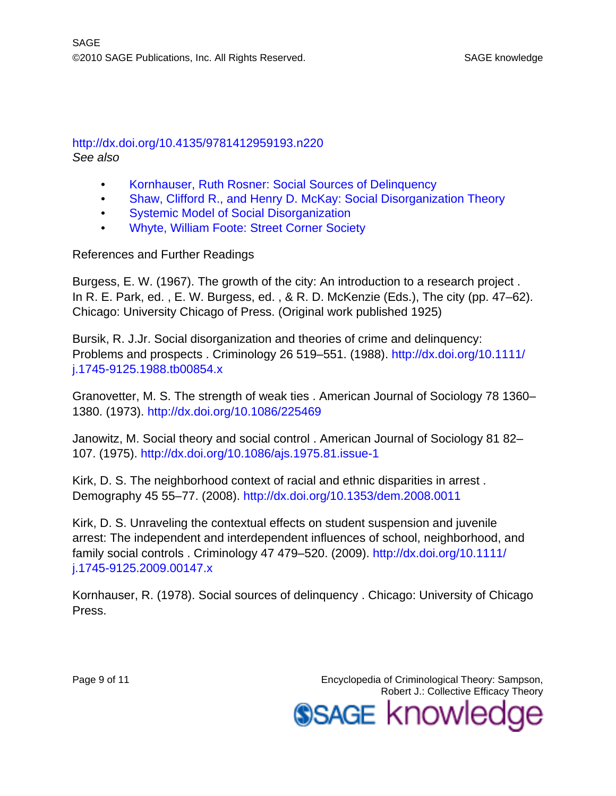#### <http://dx.doi.org/10.4135/9781412959193.n220> See also

- [Kornhauser, Ruth Rosner: Social Sources of Delinquency](http://knowledge.sagepub.com/view/criminologicaltheory/n140.xml)
- [Shaw, Clifford R., and Henry D. McKay: Social Disorganization Theory](http://knowledge.sagepub.com/view/criminologicaltheory/n228.xml)
- [Systemic Model of Social Disorganization](http://knowledge.sagepub.com/view/criminologicaltheory/n255.xml)
- [Whyte, William Foote: Street Corner Society](http://knowledge.sagepub.com/view/criminologicaltheory/n275.xml)

References and Further Readings

Burgess, E. W. (1967). The growth of the city: An introduction to a research project . In R. E. Park, ed. , E. W. Burgess, ed. , & R. D. McKenzie (Eds.), The city (pp. 47–62). Chicago: University Chicago of Press. (Original work published 1925)

Bursik, R. J.Jr. Social disorganization and theories of crime and delinquency: Problems and prospects . Criminology 26 519–551. (1988). [http://dx.doi.org/10.1111/](http://dx.doi.org/10.1111/j.1745-9125.1988.tb00854.x) [j.1745-9125.1988.tb00854.x](http://dx.doi.org/10.1111/j.1745-9125.1988.tb00854.x)

Granovetter, M. S. The strength of weak ties . American Journal of Sociology 78 1360– 1380. (1973). <http://dx.doi.org/10.1086/225469>

Janowitz, M. Social theory and social control . American Journal of Sociology 81 82– 107. (1975).<http://dx.doi.org/10.1086/ajs.1975.81.issue-1>

Kirk, D. S. The neighborhood context of racial and ethnic disparities in arrest . Demography 45 55–77. (2008).<http://dx.doi.org/10.1353/dem.2008.0011>

Kirk, D. S. Unraveling the contextual effects on student suspension and juvenile arrest: The independent and interdependent influences of school, neighborhood, and family social controls . Criminology 47 479–520. (2009). [http://dx.doi.org/10.1111/](http://dx.doi.org/10.1111/j.1745-9125.2009.00147.x) [j.1745-9125.2009.00147.x](http://dx.doi.org/10.1111/j.1745-9125.2009.00147.x)

Kornhauser, R. (1978). Social sources of delinquency . Chicago: University of Chicago Press.

Page 9 of 11 **Encyclopedia of Criminological Theory: Sampson,** Robert J.: Collective Efficacy Theory **SSAGE knowled**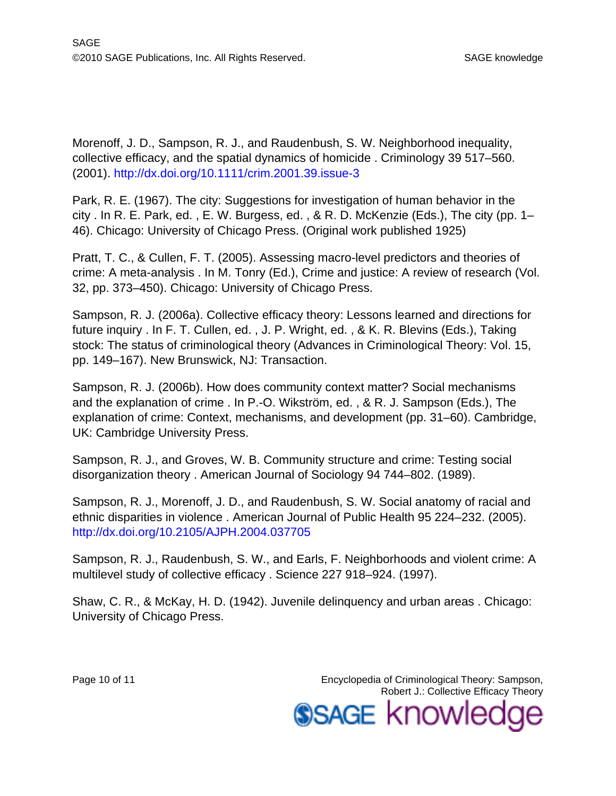Morenoff, J. D., Sampson, R. J., and Raudenbush, S. W. Neighborhood inequality, collective efficacy, and the spatial dynamics of homicide . Criminology 39 517–560. (2001).<http://dx.doi.org/10.1111/crim.2001.39.issue-3>

Park, R. E. (1967). The city: Suggestions for investigation of human behavior in the city . In R. E. Park, ed. , E. W. Burgess, ed. , & R. D. McKenzie (Eds.), The city (pp. 1– 46). Chicago: University of Chicago Press. (Original work published 1925)

Pratt, T. C., & Cullen, F. T. (2005). Assessing macro-level predictors and theories of crime: A meta-analysis . In M. Tonry (Ed.), Crime and justice: A review of research (Vol. 32, pp. 373–450). Chicago: University of Chicago Press.

Sampson, R. J. (2006a). Collective efficacy theory: Lessons learned and directions for future inquiry . In F. T. Cullen, ed. , J. P. Wright, ed. , & K. R. Blevins (Eds.), Taking stock: The status of criminological theory (Advances in Criminological Theory: Vol. 15, pp. 149–167). New Brunswick, NJ: Transaction.

Sampson, R. J. (2006b). How does community context matter? Social mechanisms and the explanation of crime . In P.-O. Wikström, ed. , & R. J. Sampson (Eds.), The explanation of crime: Context, mechanisms, and development (pp. 31–60). Cambridge, UK: Cambridge University Press.

Sampson, R. J., and Groves, W. B. Community structure and crime: Testing social disorganization theory . American Journal of Sociology 94 744–802. (1989).

Sampson, R. J., Morenoff, J. D., and Raudenbush, S. W. Social anatomy of racial and ethnic disparities in violence . American Journal of Public Health 95 224–232. (2005). <http://dx.doi.org/10.2105/AJPH.2004.037705>

Sampson, R. J., Raudenbush, S. W., and Earls, F. Neighborhoods and violent crime: A multilevel study of collective efficacy . Science 227 918–924. (1997).

Shaw, C. R., & McKay, H. D. (1942). Juvenile delinquency and urban areas . Chicago: University of Chicago Press.

Page 10 of 11 Encyclopedia of Criminological Theory: Sampson, Robert J.: Collective Efficacy Theory **SSAGE knowled**